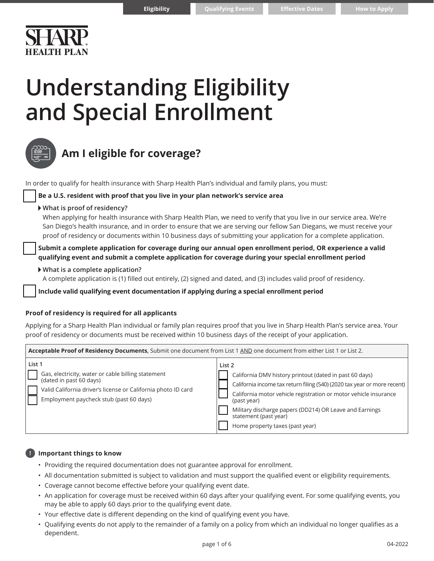# **Understanding Eligibility and Special Enrollment**

**Eligibility**

| <b>STIVE</b> |  |
|--------------|--|
|              |  |
|              |  |
|              |  |

### **Am I eligible for coverage?**

In order to qualify for health insurance with Sharp Health Plan's individual and family plans, you must:

#### **Be a U.S. resident with proof that you live in your plan network's service area**

#### **What is proof of residency?**

When applying for health insurance with Sharp Health Plan, we need to verify that you live in our service area. We're San Diego's health insurance, and in order to ensure that we are serving our fellow San Diegans, we must receive your proof of residency or documents within 10 business days of submitting your application for a complete application.

 **Submit a complete application for coverage during our annual open enrollment period, OR experience a valid qualifying event and submit a complete application for coverage during your special enrollment period**

#### **What is a complete application?**

A complete application is (1) filled out entirely, (2) signed and dated, and (3) includes valid proof of residency.

**Include valid qualifying event documentation if applying during a special enrollment period**

#### **Proof of residency is required for all applicants**

Applying for a Sharp Health Plan individual or family plan requires proof that you live in Sharp Health Plan's service area. Your proof of residency or documents must be received within 10 business days of the receipt of your application.

| Acceptable Proof of Residency Documents, Submit one document from List 1 AND one document from either List 1 or List 2.                                                                             |                                                                                                                                                                                                                                  |  |  |  |
|-----------------------------------------------------------------------------------------------------------------------------------------------------------------------------------------------------|----------------------------------------------------------------------------------------------------------------------------------------------------------------------------------------------------------------------------------|--|--|--|
| List 1<br>Gas, electricity, water or cable billing statement<br>(dated in past 60 days)<br>Valid California driver's license or California photo ID card<br>Employment paycheck stub (past 60 days) | List 2<br>California DMV history printout (dated in past 60 days)<br>California income tax return filing (540) (2020 tax year or more recent)<br>California motor vehicle registration or motor vehicle insurance<br>(past year) |  |  |  |
|                                                                                                                                                                                                     | Military discharge papers (DD214) OR Leave and Earnings<br>statement (past year)<br>Home property taxes (past year)                                                                                                              |  |  |  |

### **! Important things to know**

- Providing the required documentation does not guarantee approval for enrollment.
- All documentation submitted is subject to validation and must support the qualified event or eligibility requirements.
- Coverage cannot become effective before your qualifying event date.
- An application for coverage must be received within 60 days after your qualifying event. For some qualifying events, you may be able to apply 60 days prior to the qualifying event date.
- Your effective date is different depending on the kind of qualifying event you have.
- Qualifying events do not apply to the remainder of a family on a policy from which an individual no longer qualifies as a dependent.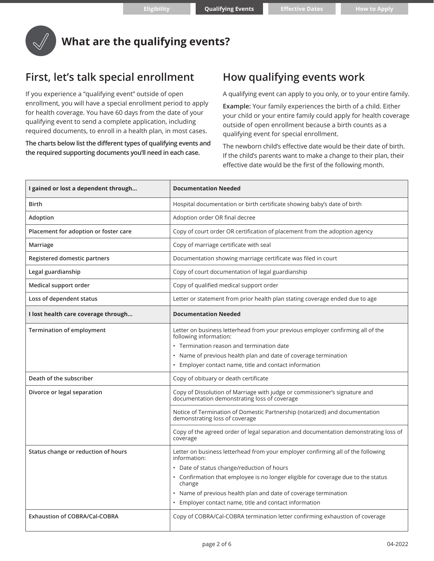

### **What are the qualifying events?**

### **First, let's talk special enrollment**

If you experience a "qualifying event" outside of open enrollment, you will have a special enrollment period to apply for health coverage. You have 60 days from the date of your qualifying event to send a complete application, including required documents, to enroll in a health plan, in most cases.

**The charts below list the different types of qualifying events and the required supporting documents you'll need in each case.**

### **How qualifying events work**

A qualifying event can apply to you only, or to your entire family.

**Example:** Your family experiences the birth of a child. Either your child or your entire family could apply for health coverage outside of open enrollment because a birth counts as a qualifying event for special enrollment.

The newborn child's effective date would be their date of birth. If the child's parents want to make a change to their plan, their effective date would be the first of the following month.

| I gained or lost a dependent through  | <b>Documentation Needed</b>                                                                                                                                                                                                                                                                                                                                                |  |
|---------------------------------------|----------------------------------------------------------------------------------------------------------------------------------------------------------------------------------------------------------------------------------------------------------------------------------------------------------------------------------------------------------------------------|--|
| <b>Birth</b>                          | Hospital documentation or birth certificate showing baby's date of birth                                                                                                                                                                                                                                                                                                   |  |
| Adoption                              | Adoption order OR final decree                                                                                                                                                                                                                                                                                                                                             |  |
| Placement for adoption or foster care | Copy of court order OR certification of placement from the adoption agency                                                                                                                                                                                                                                                                                                 |  |
| Marriage                              | Copy of marriage certificate with seal                                                                                                                                                                                                                                                                                                                                     |  |
| Registered domestic partners          | Documentation showing marriage certificate was filed in court                                                                                                                                                                                                                                                                                                              |  |
| Legal guardianship                    | Copy of court documentation of legal guardianship                                                                                                                                                                                                                                                                                                                          |  |
| Medical support order                 | Copy of qualified medical support order                                                                                                                                                                                                                                                                                                                                    |  |
| Loss of dependent status              | Letter or statement from prior health plan stating coverage ended due to age                                                                                                                                                                                                                                                                                               |  |
| I lost health care coverage through   | <b>Documentation Needed</b>                                                                                                                                                                                                                                                                                                                                                |  |
| <b>Termination of employment</b>      | Letter on business letterhead from your previous employer confirming all of the<br>following information:<br>• Termination reason and termination date<br>• Name of previous health plan and date of coverage termination<br>• Employer contact name, title and contact information                                                                                        |  |
| Death of the subscriber               | Copy of obituary or death certificate                                                                                                                                                                                                                                                                                                                                      |  |
| Divorce or legal separation           | Copy of Dissolution of Marriage with judge or commissioner's signature and<br>documentation demonstrating loss of coverage<br>Notice of Termination of Domestic Partnership (notarized) and documentation<br>demonstrating loss of coverage                                                                                                                                |  |
|                                       | Copy of the agreed order of legal separation and documentation demonstrating loss of<br>coverage                                                                                                                                                                                                                                                                           |  |
| Status change or reduction of hours   | Letter on business letterhead from your employer confirming all of the following<br>information:<br>• Date of status change/reduction of hours<br>• Confirmation that employee is no longer eligible for coverage due to the status<br>change<br>• Name of previous health plan and date of coverage termination<br>• Employer contact name, title and contact information |  |
| <b>Exhaustion of COBRA/Cal-COBRA</b>  | Copy of COBRA/Cal-COBRA termination letter confirming exhaustion of coverage                                                                                                                                                                                                                                                                                               |  |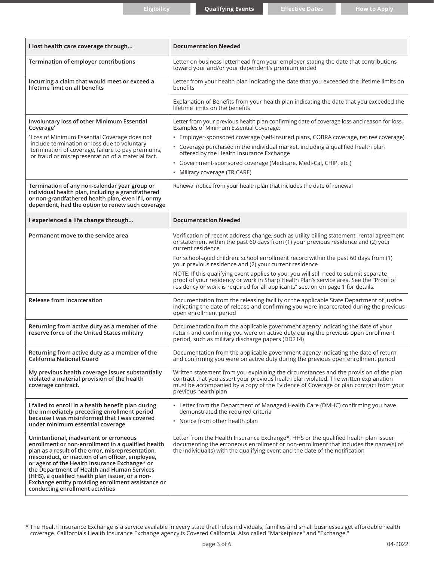| I lost health care coverage through                                                                                                                                                                                                                                                                                                                                                                                                                  | <b>Documentation Needed</b>                                                                                                                                                                                                                                                                                                                                                                                                                                                                                                                                                                                                   |  |
|------------------------------------------------------------------------------------------------------------------------------------------------------------------------------------------------------------------------------------------------------------------------------------------------------------------------------------------------------------------------------------------------------------------------------------------------------|-------------------------------------------------------------------------------------------------------------------------------------------------------------------------------------------------------------------------------------------------------------------------------------------------------------------------------------------------------------------------------------------------------------------------------------------------------------------------------------------------------------------------------------------------------------------------------------------------------------------------------|--|
| Termination of employer contributions                                                                                                                                                                                                                                                                                                                                                                                                                | Letter on business letterhead from your employer stating the date that contributions<br>toward your and/or your dependent's premium ended                                                                                                                                                                                                                                                                                                                                                                                                                                                                                     |  |
| Incurring a claim that would meet or exceed a<br>lifetime limit on all benefits                                                                                                                                                                                                                                                                                                                                                                      | Letter from your health plan indicating the date that you exceeded the lifetime limits on<br>benefits                                                                                                                                                                                                                                                                                                                                                                                                                                                                                                                         |  |
|                                                                                                                                                                                                                                                                                                                                                                                                                                                      | Explanation of Benefits from your health plan indicating the date that you exceeded the<br>lifetime limits on the benefits                                                                                                                                                                                                                                                                                                                                                                                                                                                                                                    |  |
| Involuntary loss of other Minimum Essential<br>Coverage*<br>*Loss of Minimum Essential Coverage does not<br>include termination or loss due to voluntary<br>termination of coverage, failure to pay premiums,<br>or fraud or misrepresentation of a material fact.                                                                                                                                                                                   | Letter from your previous health plan confirming date of coverage loss and reason for loss.<br>Examples of Minimum Essential Coverage:<br>· Employer-sponsored coverage (self-insured plans, COBRA coverage, retiree coverage)<br>• Coverage purchased in the individual market, including a qualified health plan<br>offered by the Health Insurance Exchange<br>· Government-sponsored coverage (Medicare, Medi-Cal, CHIP, etc.)<br>• Military coverage (TRICARE)                                                                                                                                                           |  |
| Termination of any non-calendar year group or<br>individual health plan, including a grandfathered<br>or non-grandfathered health plan, even if I, or my<br>dependent, had the option to renew such coverage                                                                                                                                                                                                                                         | Renewal notice from your health plan that includes the date of renewal                                                                                                                                                                                                                                                                                                                                                                                                                                                                                                                                                        |  |
| I experienced a life change through                                                                                                                                                                                                                                                                                                                                                                                                                  | <b>Documentation Needed</b>                                                                                                                                                                                                                                                                                                                                                                                                                                                                                                                                                                                                   |  |
| Permanent move to the service area                                                                                                                                                                                                                                                                                                                                                                                                                   | Verification of recent address change, such as utility billing statement, rental agreement<br>or statement within the past 60 days from (1) your previous residence and (2) your<br>current residence<br>For school-aged children: school enrollment record within the past 60 days from (1)<br>your previous residence and (2) your current residence<br>NOTE: If this qualifying event applies to you, you will still need to submit separate<br>proof of your residency or work in Sharp Health Plan's service area. See the "Proof of<br>residency or work is required for all applicants" section on page 1 for details. |  |
| Release from incarceration                                                                                                                                                                                                                                                                                                                                                                                                                           | Documentation from the releasing facility or the applicable State Department of Justice<br>indicating the date of release and confirming you were incarcerated during the previous<br>open enrollment period                                                                                                                                                                                                                                                                                                                                                                                                                  |  |
| Returning from active duty as a member of the<br>reserve force of the United States military                                                                                                                                                                                                                                                                                                                                                         | Documentation from the applicable government agency indicating the date of your<br>return and confirming you were on active duty during the previous open enrollment<br>period, such as military discharge papers (DD214)                                                                                                                                                                                                                                                                                                                                                                                                     |  |
| Returning from active duty as a member of the<br>California National Guard                                                                                                                                                                                                                                                                                                                                                                           | Documentation from the applicable government agency indicating the date of return<br>and confirming you were on active duty during the previous open enrollment period                                                                                                                                                                                                                                                                                                                                                                                                                                                        |  |
| My previous health coverage issuer substantially<br>violated a material provision of the health<br>coverage contract.                                                                                                                                                                                                                                                                                                                                | Written statement from you explaining the circumstances and the provision of the plan<br>contract that you assert your previous health plan violated. The written explanation<br>must be accompanied by a copy of the Evidence of Coverage or plan contract from your<br>previous health plan                                                                                                                                                                                                                                                                                                                                 |  |
| I failed to enroll in a health benefit plan during<br>the immediately preceding enrollment period<br>because I was misinformed that I was covered<br>under minimum essential coverage                                                                                                                                                                                                                                                                | • Letter from the Department of Managed Health Care (DMHC) confirming you have<br>demonstrated the required criteria<br>• Notice from other health plan                                                                                                                                                                                                                                                                                                                                                                                                                                                                       |  |
| Unintentional, inadvertent or erroneous<br>enrollment or non-enrollment in a qualified health<br>plan as a result of the error, misrepresentation,<br>misconduct, or inaction of an officer, employee,<br>or agent of the Health Insurance Exchange* or<br>the Department of Health and Human Services<br>(HHS), a qualified health plan issuer, or a non-<br>Exchange entity providing enrollment assistance or<br>conducting enrollment activities | Letter from the Health Insurance Exchange*, HHS or the qualified health plan issuer<br>documenting the erroneous enrollment or non-enrollment that includes the name(s) of<br>the individual(s) with the qualifying event and the date of the notification                                                                                                                                                                                                                                                                                                                                                                    |  |

\* The Health Insurance Exchange is a service available in every state that helps individuals, families and small businesses get affordable health coverage. California's Health Insurance Exchange agency is Covered California. Also called "Marketplace" and "Exchange."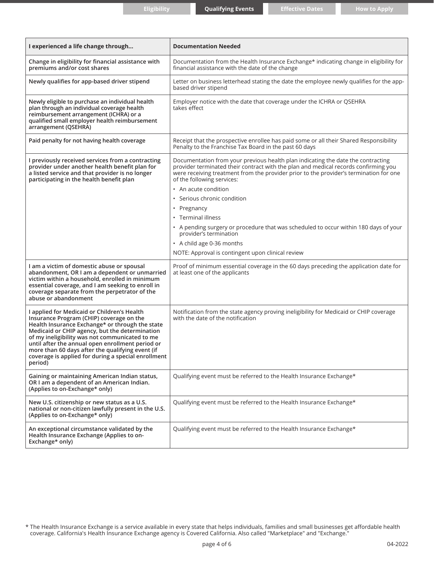| I experienced a life change through                                                                                                                                                                                                                                                                                                                                                                                      | <b>Documentation Needed</b>                                                                                                                                                                                                                                                                     |  |
|--------------------------------------------------------------------------------------------------------------------------------------------------------------------------------------------------------------------------------------------------------------------------------------------------------------------------------------------------------------------------------------------------------------------------|-------------------------------------------------------------------------------------------------------------------------------------------------------------------------------------------------------------------------------------------------------------------------------------------------|--|
| Change in eligibility for financial assistance with<br>premiums and/or cost shares                                                                                                                                                                                                                                                                                                                                       | Documentation from the Health Insurance Exchange* indicating change in eligibility for<br>financial assistance with the date of the change                                                                                                                                                      |  |
| Newly qualifies for app-based driver stipend                                                                                                                                                                                                                                                                                                                                                                             | Letter on business letterhead stating the date the employee newly qualifies for the app-<br>based driver stipend                                                                                                                                                                                |  |
| Newly eligible to purchase an individual health<br>plan through an individual coverage health<br>reimbursement arrangement (ICHRA) or a<br>qualified small employer health reimbursement<br>arrangement (QSEHRA)                                                                                                                                                                                                         | Employer notice with the date that coverage under the ICHRA or QSEHRA<br>takes effect                                                                                                                                                                                                           |  |
| Paid penalty for not having health coverage                                                                                                                                                                                                                                                                                                                                                                              | Receipt that the prospective enrollee has paid some or all their Shared Responsibility<br>Penalty to the Franchise Tax Board in the past 60 days                                                                                                                                                |  |
| I previously received services from a contracting<br>provider under another health benefit plan for<br>a listed service and that provider is no longer<br>participating in the health benefit plan                                                                                                                                                                                                                       | Documentation from your previous health plan indicating the date the contracting<br>provider terminated their contract with the plan and medical records confirming you<br>were receiving treatment from the provider prior to the provider's termination for one<br>of the following services: |  |
|                                                                                                                                                                                                                                                                                                                                                                                                                          | • An acute condition                                                                                                                                                                                                                                                                            |  |
|                                                                                                                                                                                                                                                                                                                                                                                                                          | · Serious chronic condition                                                                                                                                                                                                                                                                     |  |
|                                                                                                                                                                                                                                                                                                                                                                                                                          | • Pregnancy                                                                                                                                                                                                                                                                                     |  |
|                                                                                                                                                                                                                                                                                                                                                                                                                          | • Terminal illness                                                                                                                                                                                                                                                                              |  |
|                                                                                                                                                                                                                                                                                                                                                                                                                          | • A pending surgery or procedure that was scheduled to occur within 180 days of your<br>provider's termination                                                                                                                                                                                  |  |
|                                                                                                                                                                                                                                                                                                                                                                                                                          | • A child age 0-36 months                                                                                                                                                                                                                                                                       |  |
|                                                                                                                                                                                                                                                                                                                                                                                                                          | NOTE: Approval is contingent upon clinical review                                                                                                                                                                                                                                               |  |
| I am a victim of domestic abuse or spousal<br>abandonment, OR I am a dependent or unmarried<br>victim within a household, enrolled in minimum<br>essential coverage, and I am seeking to enroll in<br>coverage separate from the perpetrator of the<br>abuse or abandonment                                                                                                                                              | Proof of minimum essential coverage in the 60 days preceding the application date for<br>at least one of the applicants                                                                                                                                                                         |  |
| I applied for Medicaid or Children's Health<br>Insurance Program (CHIP) coverage on the<br>Health Insurance Exchange* or through the state<br>Medicaid or CHIP agency, but the determination<br>of my ineligibility was not communicated to me<br>until after the annual open enrollment period or<br>more than 60 days after the qualifying event (if<br>coverage is applied for during a special enrollment<br>period) | Notification from the state agency proving ineligibility for Medicaid or CHIP coverage<br>with the date of the notification                                                                                                                                                                     |  |
| Gaining or maintaining American Indian status,<br>OR I am a dependent of an American Indian.<br>(Applies to on-Exchange* only)                                                                                                                                                                                                                                                                                           | Qualifying event must be referred to the Health Insurance Exchange*                                                                                                                                                                                                                             |  |
| New U.S. citizenship or new status as a U.S.<br>national or non-citizen lawfully present in the U.S.<br>(Applies to on-Exchange* only)                                                                                                                                                                                                                                                                                   | Qualifying event must be referred to the Health Insurance Exchange*                                                                                                                                                                                                                             |  |
| An exceptional circumstance validated by the<br>Health Insurance Exchange (Applies to on-<br>Exchange* only)                                                                                                                                                                                                                                                                                                             | Qualifying event must be referred to the Health Insurance Exchange*                                                                                                                                                                                                                             |  |

\* The Health Insurance Exchange is a service available in every state that helps individuals, families and small businesses get affordable health coverage. California's Health Insurance Exchange agency is Covered California. Also called "Marketplace" and "Exchange."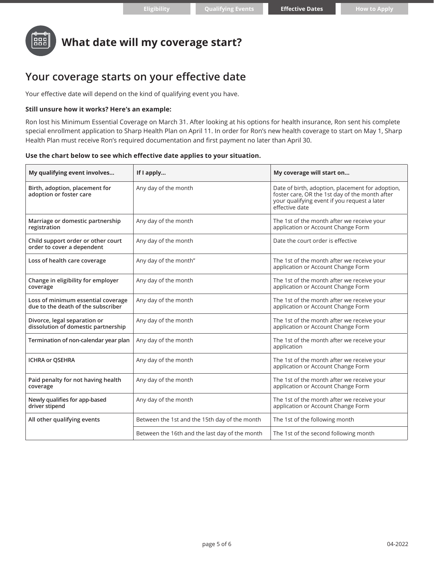

## **What date will my coverage start?**

### **Your coverage starts on your effective date**

Your effective date will depend on the kind of qualifying event you have.

#### **Still unsure how it works? Here's an example:**

Ron lost his Minimum Essential Coverage on March 31. After looking at his options for health insurance, Ron sent his complete special enrollment application to Sharp Health Plan on April 11. In order for Ron's new health coverage to start on May 1, Sharp Health Plan must receive Ron's required documentation and first payment no later than April 30.

#### **Use the chart below to see which effective date applies to your situation.**

| My qualifying event involves                                             | If I apply                                     | My coverage will start on                                                                                                                                            |
|--------------------------------------------------------------------------|------------------------------------------------|----------------------------------------------------------------------------------------------------------------------------------------------------------------------|
| Birth, adoption, placement for<br>adoption or foster care                | Any day of the month                           | Date of birth, adoption, placement for adoption,<br>foster care, OR the 1st day of the month after<br>your qualifying event if you request a later<br>effective date |
| Marriage or domestic partnership<br>registration                         | Any day of the month                           | The 1st of the month after we receive your<br>application or Account Change Form                                                                                     |
| Child support order or other court<br>order to cover a dependent         | Any day of the month                           | Date the court order is effective                                                                                                                                    |
| Loss of health care coverage                                             | Any day of the month"                          | The 1st of the month after we receive your<br>application or Account Change Form                                                                                     |
| Change in eligibility for employer<br>coverage                           | Any day of the month                           | The 1st of the month after we receive your<br>application or Account Change Form                                                                                     |
| Loss of minimum essential coverage<br>due to the death of the subscriber | Any day of the month                           | The 1st of the month after we receive your<br>application or Account Change Form                                                                                     |
| Divorce, legal separation or<br>dissolution of domestic partnership      | Any day of the month                           | The 1st of the month after we receive your<br>application or Account Change Form                                                                                     |
| Termination of non-calendar year plan                                    | Any day of the month                           | The 1st of the month after we receive your<br>application                                                                                                            |
| <b>ICHRA or OSEHRA</b>                                                   | Any day of the month                           | The 1st of the month after we receive your<br>application or Account Change Form                                                                                     |
| Paid penalty for not having health<br>coverage                           | Any day of the month                           | The 1st of the month after we receive your<br>application or Account Change Form                                                                                     |
| Newly qualifies for app-based<br>driver stipend                          | Any day of the month                           | The 1st of the month after we receive your<br>application or Account Change Form                                                                                     |
| All other qualifying events                                              | Between the 1st and the 15th day of the month  | The 1st of the following month                                                                                                                                       |
|                                                                          | Between the 16th and the last day of the month | The 1st of the second following month                                                                                                                                |